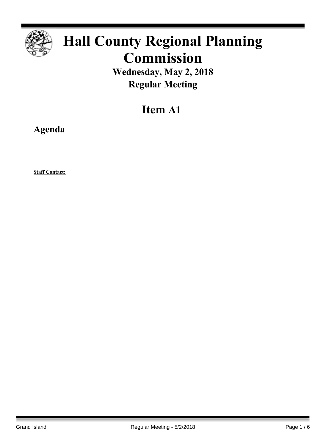

# **Hall County Regional Planning Commission**

**Wednesday, May 2, 2018 Regular Meeting**

# **Item A1**

**Agenda**

**Staff Contact:**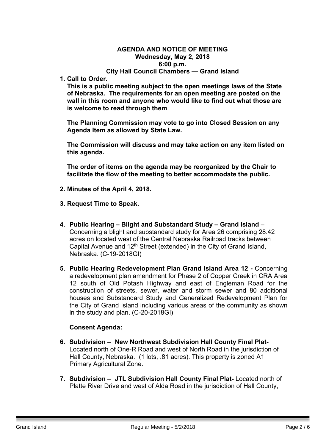#### **AGENDA AND NOTICE OF MEETING Wednesday, May 2, 2018 6:00 p.m. City Hall Council Chambers — Grand Island**

**1. Call to Order.**

**This is a public meeting subject to the open meetings laws of the State of Nebraska. The requirements for an open meeting are posted on the wall in this room and anyone who would like to find out what those are is welcome to read through them**.

**The Planning Commission may vote to go into Closed Session on any Agenda Item as allowed by State Law.**

**The Commission will discuss and may take action on any item listed on this agenda.**

**The order of items on the agenda may be reorganized by the Chair to facilitate the flow of the meeting to better accommodate the public.**

- **2. Minutes of the April 4, 2018.**
- **3. Request Time to Speak.**
- **4. Public Hearing – Blight and Substandard Study – Grand Island** Concerning a blight and substandard study for Area 26 comprising 28.42 acres on located west of the Central Nebraska Railroad tracks between Capital Avenue and 12<sup>th</sup> Street (extended) in the City of Grand Island, Nebraska. (C-19-2018GI)
- **5. Public Hearing Redevelopment Plan Grand Island Area 12 -** Concerning a redevelopment plan amendment for Phase 2 of Copper Creek in CRA Area 12 south of Old Potash Highway and east of Engleman Road for the construction of streets, sewer, water and storm sewer and 80 additional houses and Substandard Study and Generalized Redevelopment Plan for the City of Grand Island including various areas of the community as shown in the study and plan. (C-20-2018GI)

#### **Consent Agenda:**

- **6. Subdivision – New Northwest Subdivision Hall County Final Plat-**Located north of One-R Road and west of North Road in the jurisdiction of Hall County, Nebraska. (1 lots, .81 acres). This property is zoned A1 Primary Agricultural Zone.
- **7. Subdivision – JTL Subdivision Hall County Final Plat-** Located north of Platte River Drive and west of Alda Road in the jurisdiction of Hall County,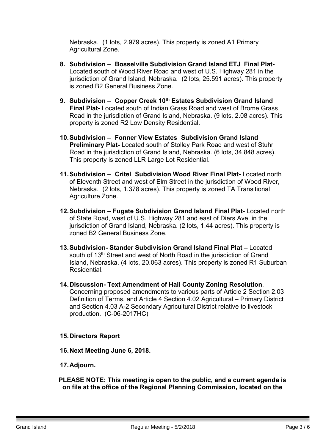Nebraska. (1 lots, 2.979 acres). This property is zoned A1 Primary Agricultural Zone.

- **8. Subdivision – Bosselville Subdivision Grand Island ETJ Final Plat-**Located south of Wood River Road and west of U.S. Highway 281 in the jurisdiction of Grand Island, Nebraska. (2 lots, 25.591 acres). This property is zoned B2 General Business Zone.
- **9. Subdivision – Copper Creek 10th Estates Subdivision Grand Island Final Plat-** Located south of Indian Grass Road and west of Brome Grass Road in the jurisdiction of Grand Island, Nebraska. (9 lots, 2.08 acres). This property is zoned R2 Low Density Residential.
- **10.Subdivision – Fonner View Estates Subdivision Grand Island Preliminary Plat-** Located south of Stolley Park Road and west of Stuhr Road in the jurisdiction of Grand Island, Nebraska. (6 lots, 34.848 acres). This property is zoned LLR Large Lot Residential.
- **11.Subdivision – Critel Subdivision Wood River Final Plat-** Located north of Eleventh Street and west of Elm Street in the jurisdiction of Wood River, Nebraska. (2 lots, 1.378 acres). This property is zoned TA Transitional Agriculture Zone.
- **12.Subdivision – Fugate Subdivision Grand Island Final Plat-** Located north of State Road, west of U.S. Highway 281 and east of Diers Ave. in the jurisdiction of Grand Island, Nebraska. (2 lots, 1.44 acres). This property is zoned B2 General Business Zone.
- **13.Subdivision- Stander Subdivision Grand Island Final Plat –** Located south of 13<sup>th</sup> Street and west of North Road in the jurisdiction of Grand Island, Nebraska. (4 lots, 20.063 acres). This property is zoned R1 Suburban Residential.
- **14.Discussion- Text Amendment of Hall County Zoning Resolution**. Concerning proposed amendments to various parts of Article 2 Section 2.03 Definition of Terms, and Article 4 Section 4.02 Agricultural – Primary District and Section 4.03 A-2 Secondary Agricultural District relative to livestock production. (C-06-2017HC)

## **15.Directors Report**

**16.Next Meeting June 6, 2018.**

## **17.Adjourn.**

**PLEASE NOTE: This meeting is open to the public, and a current agenda is on file at the office of the Regional Planning Commission, located on the**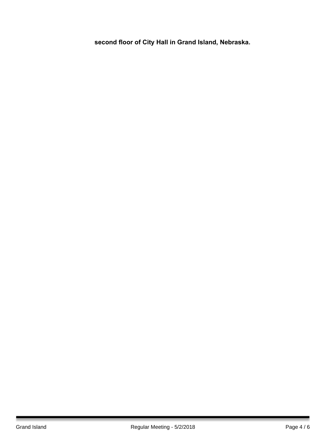**second floor of City Hall in Grand Island, Nebraska.**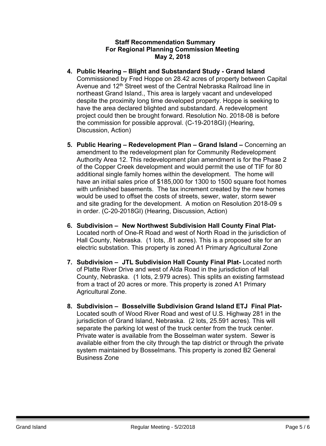#### **Staff Recommendation Summary For Regional Planning Commission Meeting May 2, 2018**

- **4. Public Hearing – Blight and Substandard Study - Grand Island** Commissioned by Fred Hoppe on 28.42 acres of property between Capital Avenue and 12<sup>th</sup> Street west of the Central Nebraska Railroad line in northeast Grand Island., This area is largely vacant and undeveloped despite the proximity long time developed property. Hoppe is seeking to have the area declared blighted and substandard. A redevelopment project could then be brought forward. Resolution No. 2018-08 is before the commission for possible approval. (C-19-2018GI) (Hearing, Discussion, Action)
- **5. Public Hearing – Redevelopment Plan – Grand Island –** Concerning an amendment to the redevelopment plan for Community Redevelopment Authority Area 12. This redevelopment plan amendment is for the Phase 2 of the Copper Creek development and would permit the use of TIF for 80 additional single family homes within the development. The home will have an initial sales price of \$185,000 for 1300 to 1500 square foot homes with unfinished basements. The tax increment created by the new homes would be used to offset the costs of streets, sewer, water, storm sewer and site grading for the development. A motion on Resolution 2018-09 s in order. (C-20-2018GI) (Hearing, Discussion, Action)
- **6. Subdivision – New Northwest Subdivision Hall County Final Plat-**Located north of One-R Road and west of North Road in the jurisdiction of Hall County, Nebraska. (1 lots, .81 acres). This is a proposed site for an electric substation. This property is zoned A1 Primary Agricultural Zone
- **7. Subdivision – JTL Subdivision Hall County Final Plat-** Located north of Platte River Drive and west of Alda Road in the jurisdiction of Hall County, Nebraska. (1 lots, 2.979 acres). This splits an existing farmstead from a tract of 20 acres or more. This property is zoned A1 Primary Agricultural Zone.
- **8. Subdivision – Bosselville Subdivision Grand Island ETJ Final Plat-**Located south of Wood River Road and west of U.S. Highway 281 in the jurisdiction of Grand Island, Nebraska. (2 lots, 25.591 acres). This will separate the parking lot west of the truck center from the truck center. Private water is available from the Bosselman water system. Sewer is available either from the city through the tap district or through the private system maintained by Bosselmans. This property is zoned B2 General Business Zone